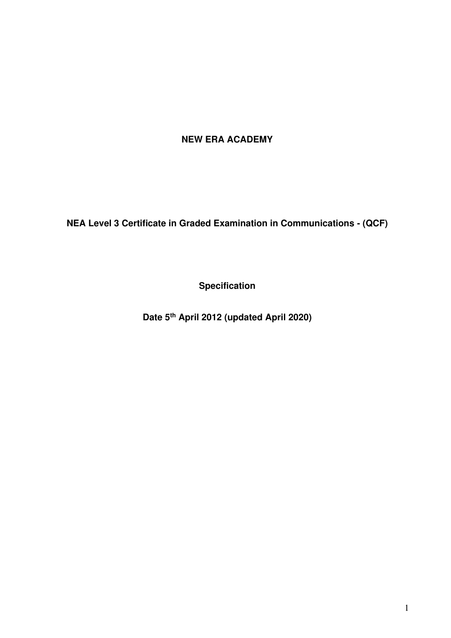# **NEW ERA ACADEMY**

**NEA Level 3 Certificate in Graded Examination in Communications - (QCF)** 

**Specification** 

**Date 5th April 2012 (updated April 2020)**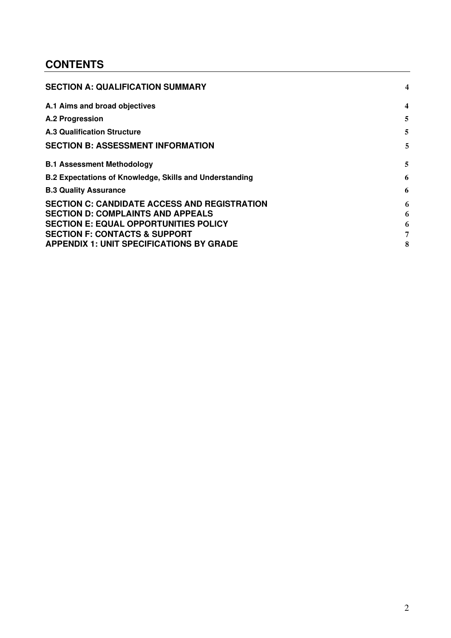# **CONTENTS**

| <b>SECTION A: QUALIFICATION SUMMARY</b>                                                                                                                                                     | 4           |
|---------------------------------------------------------------------------------------------------------------------------------------------------------------------------------------------|-------------|
| A.1 Aims and broad objectives                                                                                                                                                               | 4           |
| <b>A.2 Progression</b>                                                                                                                                                                      | 5           |
| <b>A.3 Qualification Structure</b>                                                                                                                                                          | 5           |
| <b>SECTION B: ASSESSMENT INFORMATION</b>                                                                                                                                                    | 5           |
| <b>B.1 Assessment Methodology</b>                                                                                                                                                           | 5           |
| <b>B.2 Expectations of Knowledge, Skills and Understanding</b>                                                                                                                              | 6           |
| <b>B.3 Quality Assurance</b>                                                                                                                                                                | 6           |
| <b>SECTION C: CANDIDATE ACCESS AND REGISTRATION</b><br><b>SECTION D: COMPLAINTS AND APPEALS</b><br><b>SECTION E: EQUAL OPPORTUNITIES POLICY</b><br><b>SECTION F: CONTACTS &amp; SUPPORT</b> | 6<br>6<br>6 |
| <b>APPENDIX 1: UNIT SPECIFICATIONS BY GRADE</b>                                                                                                                                             | 8           |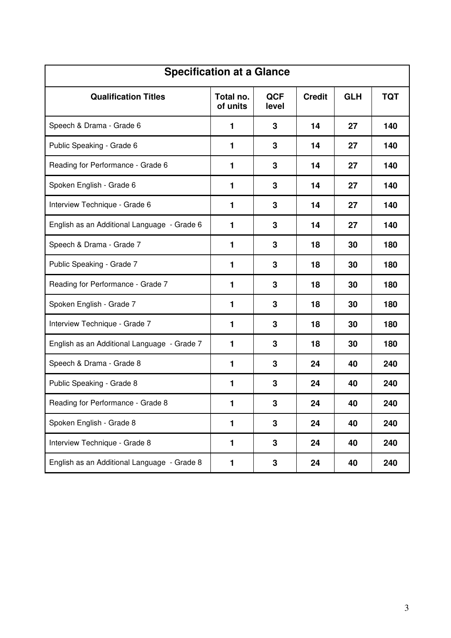| <b>Specification at a Glance</b>            |                       |                     |               |            |            |  |
|---------------------------------------------|-----------------------|---------------------|---------------|------------|------------|--|
| <b>Qualification Titles</b>                 | Total no.<br>of units | <b>QCF</b><br>level | <b>Credit</b> | <b>GLH</b> | <b>TQT</b> |  |
| Speech & Drama - Grade 6                    | 1                     | 3                   | 14            | 27         | 140        |  |
| Public Speaking - Grade 6                   | 1                     | 3                   | 14            | 27         | 140        |  |
| Reading for Performance - Grade 6           | 1                     | 3                   | 14            | 27         | 140        |  |
| Spoken English - Grade 6                    | 1                     | 3                   | 14            | 27         | 140        |  |
| Interview Technique - Grade 6               | 1                     | 3                   | 14            | 27         | 140        |  |
| English as an Additional Language - Grade 6 | 1                     | 3                   | 14            | 27         | 140        |  |
| Speech & Drama - Grade 7                    | 1                     | 3                   | 18            | 30         | 180        |  |
| Public Speaking - Grade 7                   | 1                     | 3                   | 18            | 30         | 180        |  |
| Reading for Performance - Grade 7           | 1                     | 3                   | 18            | 30         | 180        |  |
| Spoken English - Grade 7                    | 1                     | 3                   | 18            | 30         | 180        |  |
| Interview Technique - Grade 7               | 1                     | 3                   | 18            | 30         | 180        |  |
| English as an Additional Language - Grade 7 | 1                     | 3                   | 18            | 30         | 180        |  |
| Speech & Drama - Grade 8                    | 1                     | 3                   | 24            | 40         | 240        |  |
| Public Speaking - Grade 8                   | 1                     | 3                   | 24            | 40         | 240        |  |
| Reading for Performance - Grade 8           | 1                     | 3                   | 24            | 40         | 240        |  |
| Spoken English - Grade 8                    | 1                     | $3\phantom{a}$      | 24            | 40         | 240        |  |
| Interview Technique - Grade 8               | 1                     | 3                   | 24            | 40         | 240        |  |
| English as an Additional Language - Grade 8 | 1                     | $3\phantom{a}$      | 24            | 40         | 240        |  |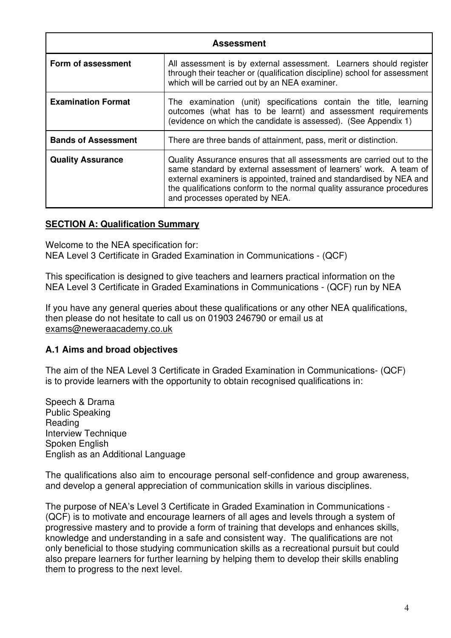| <b>Assessment</b>          |                                                                                                                                                                                                                                                                                                                               |  |  |  |  |  |  |
|----------------------------|-------------------------------------------------------------------------------------------------------------------------------------------------------------------------------------------------------------------------------------------------------------------------------------------------------------------------------|--|--|--|--|--|--|
| Form of assessment         | All assessment is by external assessment. Learners should register<br>through their teacher or (qualification discipline) school for assessment<br>which will be carried out by an NEA examiner.                                                                                                                              |  |  |  |  |  |  |
| <b>Examination Format</b>  | The examination (unit) specifications contain the title, learning<br>outcomes (what has to be learnt) and assessment requirements<br>(evidence on which the candidate is assessed). (See Appendix 1)                                                                                                                          |  |  |  |  |  |  |
| <b>Bands of Assessment</b> | There are three bands of attainment, pass, merit or distinction.                                                                                                                                                                                                                                                              |  |  |  |  |  |  |
| <b>Quality Assurance</b>   | Quality Assurance ensures that all assessments are carried out to the<br>same standard by external assessment of learners' work. A team of<br>external examiners is appointed, trained and standardised by NEA and<br>the qualifications conform to the normal quality assurance procedures<br>and processes operated by NEA. |  |  |  |  |  |  |

#### <span id="page-3-0"></span>**SECTION A: Qualification Summary**

Welcome to the NEA specification for: NEA Level 3 Certificate in Graded Examination in Communications - (QCF)

This specification is designed to give teachers and learners practical information on the NEA Level 3 Certificate in Graded Examinations in Communications - (QCF) run by NEA

If you have any general queries about these qualifications or any other NEA qualifications, then please do not hesitate to call us on 01903 246790 or email us at exams@neweraacademy.co.uk

#### <span id="page-3-1"></span>**A.1 Aims and broad objectives**

The aim of the NEA Level 3 Certificate in Graded Examination in Communications- (QCF) is to provide learners with the opportunity to obtain recognised qualifications in:

Speech & Drama Public Speaking Reading Interview Technique Spoken English English as an Additional Language

The qualifications also aim to encourage personal self-confidence and group awareness, and develop a general appreciation of communication skills in various disciplines.

The purpose of NEA's Level 3 Certificate in Graded Examination in Communications - (QCF) is to motivate and encourage learners of all ages and levels through a system of progressive mastery and to provide a form of training that develops and enhances skills, knowledge and understanding in a safe and consistent way. The qualifications are not only beneficial to those studying communication skills as a recreational pursuit but could also prepare learners for further learning by helping them to develop their skills enabling them to progress to the next level.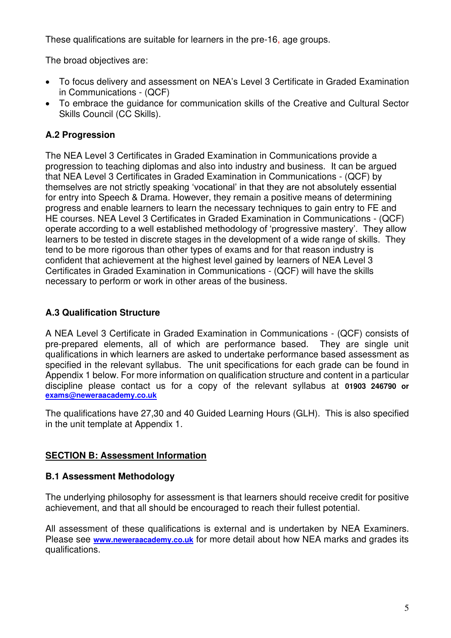These qualifications are suitable for learners in the pre-16, age groups.

The broad objectives are:

- To focus delivery and assessment on NEA's Level 3 Certificate in Graded Examination in Communications - (QCF)
- To embrace the guidance for communication skills of the Creative and Cultural Sector Skills Council (CC Skills).

## <span id="page-4-0"></span>**A.2 Progression**

The NEA Level 3 Certificates in Graded Examination in Communications provide a progression to teaching diplomas and also into industry and business. It can be argued that NEA Level 3 Certificates in Graded Examination in Communications - (QCF) by themselves are not strictly speaking 'vocational' in that they are not absolutely essential for entry into Speech & Drama. However, they remain a positive means of determining progress and enable learners to learn the necessary techniques to gain entry to FE and HE courses. NEA Level 3 Certificates in Graded Examination in Communications - (QCF) operate according to a well established methodology of 'progressive mastery'. They allow learners to be tested in discrete stages in the development of a wide range of skills. They tend to be more rigorous than other types of exams and for that reason industry is confident that achievement at the highest level gained by learners of NEA Level 3 Certificates in Graded Examination in Communications - (QCF) will have the skills necessary to perform or work in other areas of the business.

## <span id="page-4-1"></span>**A.3 Qualification Structure**

A NEA Level 3 Certificate in Graded Examination in Communications - (QCF) consists of pre-prepared elements, all of which are performance based. They are single unit qualifications in which learners are asked to undertake performance based assessment as specified in the relevant syllabus. The unit specifications for each grade can be found in Appendix 1 below. For more information on qualification structure and content in a particular discipline please contact us for a copy of the relevant syllabus at **01903 246790 or [exams@neweraacademy.co.uk](mailto:exams@neweraacademy.co.uk)**

The qualifications have 27,30 and 40 Guided Learning Hours (GLH). This is also specified in the unit template at Appendix 1.

## <span id="page-4-2"></span>**SECTION B: Assessment Information**

### <span id="page-4-3"></span>**B.1 Assessment Methodology**

The underlying philosophy for assessment is that learners should receive credit for positive achievement, and that all should be encouraged to reach their fullest potential.

All assessment of these qualifications is external and is undertaken by NEA Examiners. Please see **[www.neweraacademy.co.uk](http://www.neweraacademy.co.uk/)** for more detail about how NEA marks and grades its qualifications.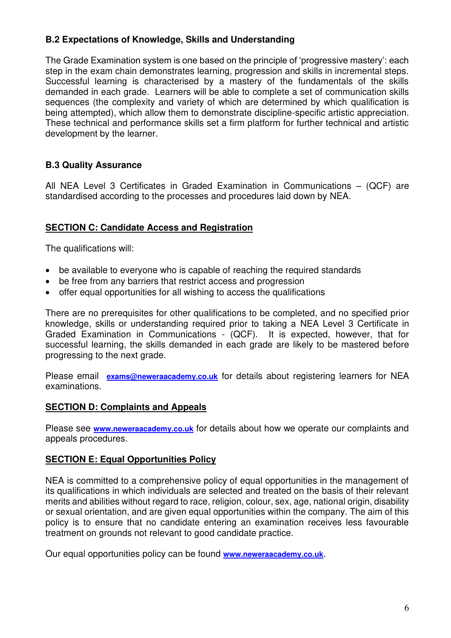### <span id="page-5-0"></span>**B.2 Expectations of Knowledge, Skills and Understanding**

The Grade Examination system is one based on the principle of 'progressive mastery': each step in the exam chain demonstrates learning, progression and skills in incremental steps. Successful learning is characterised by a mastery of the fundamentals of the skills demanded in each grade. Learners will be able to complete a set of communication skills sequences (the complexity and variety of which are determined by which qualification is being attempted), which allow them to demonstrate discipline-specific artistic appreciation. These technical and performance skills set a firm platform for further technical and artistic development by the learner.

### <span id="page-5-1"></span>**B.3 Quality Assurance**

All NEA Level 3 Certificates in Graded Examination in Communications – (QCF) are standardised according to the processes and procedures laid down by NEA.

### <span id="page-5-2"></span>**SECTION C: Candidate Access and Registration**

The qualifications will:

- be available to everyone who is capable of reaching the required standards
- be free from any barriers that restrict access and progression
- offer equal opportunities for all wishing to access the qualifications

There are no prerequisites for other qualifications to be completed, and no specified prior knowledge, skills or understanding required prior to taking a NEA Level 3 Certificate in Graded Examination in Communications - (QCF). It is expected, however, that for successful learning, the skills demanded in each grade are likely to be mastered before progressing to the next grade.

Please email **[exams@neweraacademy.co.uk](mailto:exams@neweraacademy.co.uk)** for details about registering learners for NEA examinations.

#### <span id="page-5-3"></span>**SECTION D: Complaints and Appeals**

Please see **[www.neweraacademy.co.uk](http://www.neweraacademy.co.uk/)** for details about how we operate our complaints and appeals procedures.

#### <span id="page-5-4"></span>**SECTION E: Equal Opportunities Policy**

NEA is committed to a comprehensive policy of equal opportunities in the management of its qualifications in which individuals are selected and treated on the basis of their relevant merits and abilities without regard to race, religion, colour, sex, age, national origin, disability or sexual orientation, and are given equal opportunities within the company. The aim of this policy is to ensure that no candidate entering an examination receives less favourable treatment on grounds not relevant to good candidate practice.

Our equal opportunities policy can be found **[www.neweraacademy.co.uk](http://www.neweraacademy.co.uk/)**.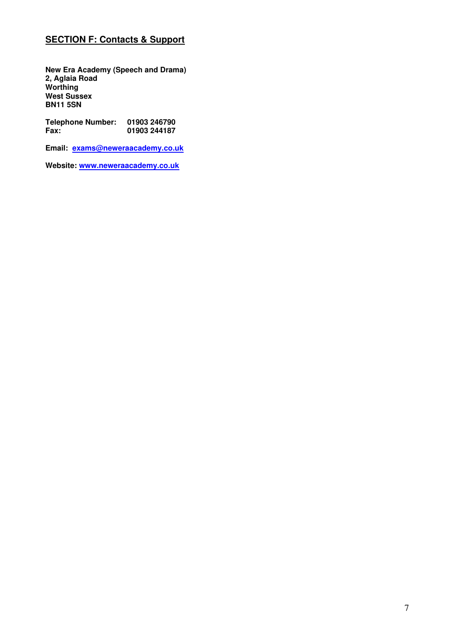## <span id="page-6-0"></span>**SECTION F: Contacts & Support**

**New Era Academy (Speech and Drama) 2, Aglaia Road Worthing West Sussex BN11 5SN** 

**Telephone Number: 01903 246790 Fax: 01903 244187** 

**Email: [exams@neweraacademy.co.uk](mailto:exams@neweraacademy.co.uk)** 

**Website: [www.neweraacademy.co.uk](http://www.neweraacademy.co.uk/)**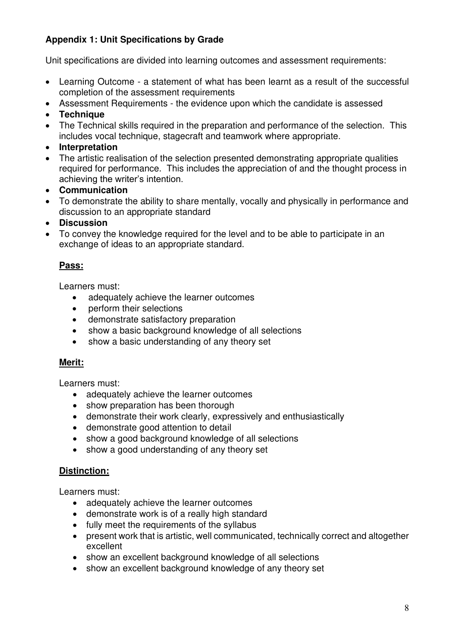## <span id="page-7-0"></span>**Appendix 1: Unit Specifications by Grade**

Unit specifications are divided into learning outcomes and assessment requirements:

- Learning Outcome a statement of what has been learnt as a result of the successful completion of the assessment requirements
- Assessment Requirements the evidence upon which the candidate is assessed
- **Technique**
- The Technical skills required in the preparation and performance of the selection. This includes vocal technique, stagecraft and teamwork where appropriate.
- **Interpretation**
- The artistic realisation of the selection presented demonstrating appropriate qualities required for performance. This includes the appreciation of and the thought process in achieving the writer's intention.
- **Communication**
- To demonstrate the ability to share mentally, vocally and physically in performance and discussion to an appropriate standard
- **Discussion**
- To convey the knowledge required for the level and to be able to participate in an exchange of ideas to an appropriate standard.

## **Pass:**

Learners must:

- adequately achieve the learner outcomes
- perform their selections
- demonstrate satisfactory preparation
- show a basic background knowledge of all selections
- show a basic understanding of any theory set

### **Merit:**

Learners must:

- adequately achieve the learner outcomes
- show preparation has been thorough
- demonstrate their work clearly, expressively and enthusiastically
- demonstrate good attention to detail
- show a good background knowledge of all selections
- show a good understanding of any theory set

#### **Distinction:**

Learners must:

- adequately achieve the learner outcomes
- demonstrate work is of a really high standard
- fully meet the requirements of the syllabus
- present work that is artistic, well communicated, technically correct and altogether excellent
- show an excellent background knowledge of all selections
- show an excellent background knowledge of any theory set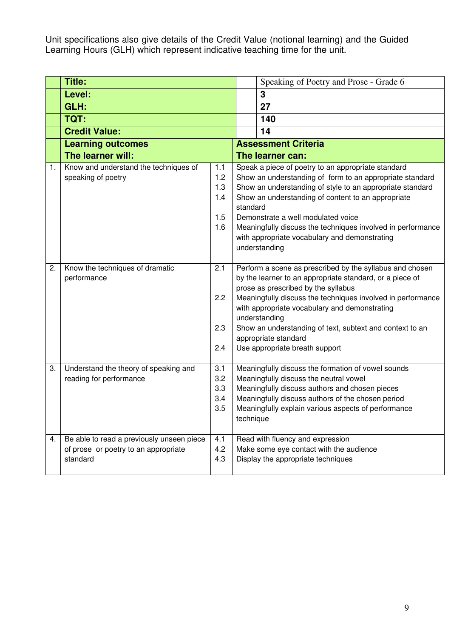Unit specifications also give details of the Credit Value (notional learning) and the Guided Learning Hours (GLH) which represent indicative teaching time for the unit.

|    | <b>Title:</b>                                                                                 |                                        |                                                                                                                                                                                                                                                                         | Speaking of Poetry and Prose - Grade 6                                                                                                                                                                                                                                                                                                                                                                             |  |
|----|-----------------------------------------------------------------------------------------------|----------------------------------------|-------------------------------------------------------------------------------------------------------------------------------------------------------------------------------------------------------------------------------------------------------------------------|--------------------------------------------------------------------------------------------------------------------------------------------------------------------------------------------------------------------------------------------------------------------------------------------------------------------------------------------------------------------------------------------------------------------|--|
|    | Level:                                                                                        |                                        |                                                                                                                                                                                                                                                                         | 3                                                                                                                                                                                                                                                                                                                                                                                                                  |  |
|    | GLH:                                                                                          |                                        |                                                                                                                                                                                                                                                                         | 27                                                                                                                                                                                                                                                                                                                                                                                                                 |  |
|    | TQT:                                                                                          |                                        |                                                                                                                                                                                                                                                                         | 140                                                                                                                                                                                                                                                                                                                                                                                                                |  |
|    | <b>Credit Value:</b>                                                                          |                                        |                                                                                                                                                                                                                                                                         | 14                                                                                                                                                                                                                                                                                                                                                                                                                 |  |
|    | <b>Learning outcomes</b>                                                                      |                                        |                                                                                                                                                                                                                                                                         | <b>Assessment Criteria</b>                                                                                                                                                                                                                                                                                                                                                                                         |  |
|    | The learner will:                                                                             |                                        |                                                                                                                                                                                                                                                                         | The learner can:                                                                                                                                                                                                                                                                                                                                                                                                   |  |
| 1. | Know and understand the techniques of<br>speaking of poetry                                   | 1.1<br>1.2<br>1.3<br>1.4<br>1.5<br>1.6 | standard                                                                                                                                                                                                                                                                | Speak a piece of poetry to an appropriate standard<br>Show an understanding of form to an appropriate standard<br>Show an understanding of style to an appropriate standard<br>Show an understanding of content to an appropriate<br>Demonstrate a well modulated voice<br>Meaningfully discuss the techniques involved in performance<br>with appropriate vocabulary and demonstrating<br>understanding           |  |
| 2. | Know the techniques of dramatic<br>performance                                                | 2.1<br>2.2<br>2.3<br>2.4               |                                                                                                                                                                                                                                                                         | Perform a scene as prescribed by the syllabus and chosen<br>by the learner to an appropriate standard, or a piece of<br>prose as prescribed by the syllabus<br>Meaningfully discuss the techniques involved in performance<br>with appropriate vocabulary and demonstrating<br>understanding<br>Show an understanding of text, subtext and context to an<br>appropriate standard<br>Use appropriate breath support |  |
| 3. | Understand the theory of speaking and<br>reading for performance                              | 3.1<br>3.2<br>3.3<br>3.4<br>3.5        | Meaningfully discuss the formation of vowel sounds<br>Meaningfully discuss the neutral vowel<br>Meaningfully discuss authors and chosen pieces<br>Meaningfully discuss authors of the chosen period<br>Meaningfully explain various aspects of performance<br>technique |                                                                                                                                                                                                                                                                                                                                                                                                                    |  |
| 4. | Be able to read a previously unseen piece<br>of prose or poetry to an appropriate<br>standard | 4.1<br>4.2<br>4.3                      |                                                                                                                                                                                                                                                                         | Read with fluency and expression<br>Make some eye contact with the audience<br>Display the appropriate techniques                                                                                                                                                                                                                                                                                                  |  |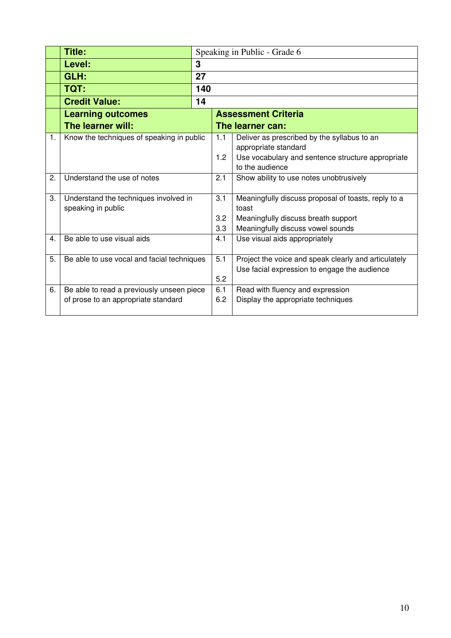|    | Title:                                     |     |     | Speaking in Public - Grade 6                                         |  |  |  |
|----|--------------------------------------------|-----|-----|----------------------------------------------------------------------|--|--|--|
|    | Level:                                     | 3   |     |                                                                      |  |  |  |
|    | GLH:                                       | 27  |     |                                                                      |  |  |  |
|    | TQT:                                       | 140 |     |                                                                      |  |  |  |
|    | <b>Credit Value:</b>                       | 14  |     |                                                                      |  |  |  |
|    | <b>Learning outcomes</b>                   |     |     | <b>Assessment Criteria</b>                                           |  |  |  |
|    | The learner will:                          |     |     | The learner can:                                                     |  |  |  |
| 1. | Know the techniques of speaking in public  |     | 1.1 | Deliver as prescribed by the syllabus to an                          |  |  |  |
|    |                                            |     |     | appropriate standard                                                 |  |  |  |
|    |                                            |     | 1.2 | Use vocabulary and sentence structure appropriate<br>to the audience |  |  |  |
| 2. | Understand the use of notes                |     | 2.1 | Show ability to use notes unobtrusively                              |  |  |  |
|    |                                            |     |     |                                                                      |  |  |  |
| 3. | Understand the techniques involved in      |     | 3.1 | Meaningfully discuss proposal of toasts, reply to a                  |  |  |  |
|    | speaking in public                         |     |     | toast                                                                |  |  |  |
|    |                                            |     | 3.2 | Meaningfully discuss breath support                                  |  |  |  |
|    |                                            |     | 3.3 | Meaningfully discuss vowel sounds                                    |  |  |  |
| 4. | Be able to use visual aids                 |     | 4.1 | Use visual aids appropriately                                        |  |  |  |
| 5. | Be able to use vocal and facial techniques |     | 5.1 | Project the voice and speak clearly and articulately                 |  |  |  |
|    |                                            |     |     | Use facial expression to engage the audience                         |  |  |  |
|    |                                            |     | 5.2 |                                                                      |  |  |  |
| 6. | Be able to read a previously unseen piece  |     | 6.1 | Read with fluency and expression                                     |  |  |  |
|    | of prose to an appropriate standard        |     | 6.2 | Display the appropriate techniques                                   |  |  |  |
|    |                                            |     |     |                                                                      |  |  |  |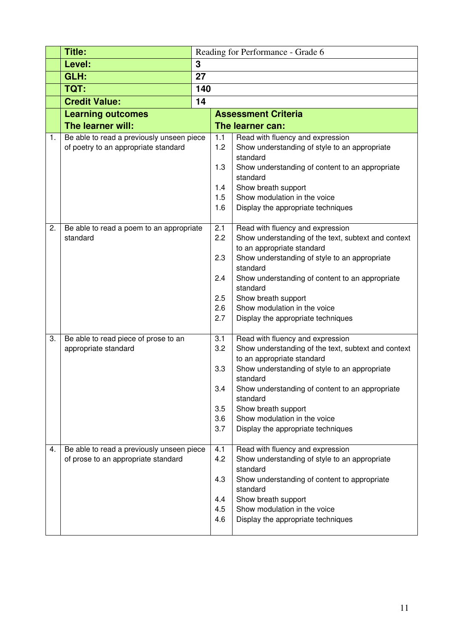|    | <b>Title:</b>                                        | Reading for Performance - Grade 6 |            |                                                                                         |  |  |  |
|----|------------------------------------------------------|-----------------------------------|------------|-----------------------------------------------------------------------------------------|--|--|--|
|    | Level:                                               | 3                                 |            |                                                                                         |  |  |  |
|    | GLH:                                                 | 27                                |            |                                                                                         |  |  |  |
|    | TQT:                                                 | 140                               |            |                                                                                         |  |  |  |
|    | <b>Credit Value:</b>                                 | 14                                |            |                                                                                         |  |  |  |
|    | <b>Learning outcomes</b>                             |                                   |            | <b>Assessment Criteria</b>                                                              |  |  |  |
|    | The learner will:                                    |                                   |            | The learner can:                                                                        |  |  |  |
| 1. | Be able to read a previously unseen piece            |                                   | 1.1        | Read with fluency and expression                                                        |  |  |  |
|    | of poetry to an appropriate standard                 |                                   | 1.2        | Show understanding of style to an appropriate                                           |  |  |  |
|    |                                                      |                                   | 1.3        | standard                                                                                |  |  |  |
|    |                                                      |                                   |            | Show understanding of content to an appropriate<br>standard                             |  |  |  |
|    |                                                      |                                   | 1.4        | Show breath support                                                                     |  |  |  |
|    |                                                      |                                   | 1.5        | Show modulation in the voice                                                            |  |  |  |
|    |                                                      |                                   | 1.6        | Display the appropriate techniques                                                      |  |  |  |
|    |                                                      |                                   |            |                                                                                         |  |  |  |
| 2. | Be able to read a poem to an appropriate<br>standard |                                   | 2.1<br>2.2 | Read with fluency and expression<br>Show understanding of the text, subtext and context |  |  |  |
|    |                                                      |                                   |            | to an appropriate standard                                                              |  |  |  |
|    |                                                      |                                   | 2.3        | Show understanding of style to an appropriate                                           |  |  |  |
|    |                                                      |                                   |            | standard                                                                                |  |  |  |
|    |                                                      |                                   | 2.4        | Show understanding of content to an appropriate                                         |  |  |  |
|    |                                                      |                                   |            | standard                                                                                |  |  |  |
|    |                                                      |                                   | 2.5<br>2.6 | Show breath support<br>Show modulation in the voice                                     |  |  |  |
|    |                                                      |                                   | 2.7        | Display the appropriate techniques                                                      |  |  |  |
|    |                                                      |                                   |            |                                                                                         |  |  |  |
| 3. | Be able to read piece of prose to an                 |                                   | 3.1        | Read with fluency and expression                                                        |  |  |  |
|    | appropriate standard                                 |                                   | 3.2        | Show understanding of the text, subtext and context                                     |  |  |  |
|    |                                                      |                                   | 3.3        | to an appropriate standard<br>Show understanding of style to an appropriate             |  |  |  |
|    |                                                      |                                   |            | standard                                                                                |  |  |  |
|    |                                                      |                                   | 3.4        | Show understanding of content to an appropriate                                         |  |  |  |
|    |                                                      |                                   |            | standard                                                                                |  |  |  |
|    |                                                      |                                   | 3.5        | Show breath support                                                                     |  |  |  |
|    |                                                      |                                   | 3.6        | Show modulation in the voice                                                            |  |  |  |
|    |                                                      |                                   | 3.7        | Display the appropriate techniques                                                      |  |  |  |
| 4. | Be able to read a previously unseen piece            |                                   | 4.1        | Read with fluency and expression                                                        |  |  |  |
|    | of prose to an appropriate standard                  |                                   | 4.2        | Show understanding of style to an appropriate                                           |  |  |  |
|    |                                                      |                                   |            | standard                                                                                |  |  |  |
|    |                                                      |                                   | 4.3        | Show understanding of content to appropriate                                            |  |  |  |
|    |                                                      |                                   | 4.4        | standard<br>Show breath support                                                         |  |  |  |
|    |                                                      |                                   | 4.5        | Show modulation in the voice                                                            |  |  |  |
|    |                                                      |                                   | 4.6        | Display the appropriate techniques                                                      |  |  |  |
|    |                                                      |                                   |            |                                                                                         |  |  |  |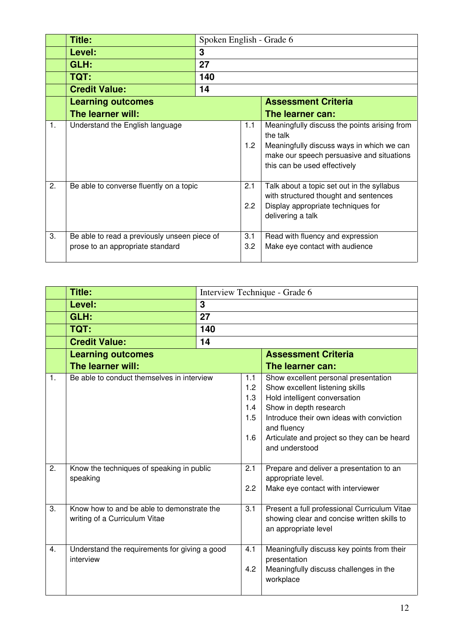|                | Title:                                                                           |     | Spoken English - Grade 6 |                                                                                                                                                                                    |  |
|----------------|----------------------------------------------------------------------------------|-----|--------------------------|------------------------------------------------------------------------------------------------------------------------------------------------------------------------------------|--|
|                | Level:                                                                           | 3   |                          |                                                                                                                                                                                    |  |
|                | GLH:                                                                             | 27  |                          |                                                                                                                                                                                    |  |
|                | TQT:                                                                             | 140 |                          |                                                                                                                                                                                    |  |
|                | <b>Credit Value:</b>                                                             | 14  |                          |                                                                                                                                                                                    |  |
|                | <b>Learning outcomes</b>                                                         |     |                          | <b>Assessment Criteria</b>                                                                                                                                                         |  |
|                | The learner will:                                                                |     |                          | The learner can:                                                                                                                                                                   |  |
| $\mathbf{1}$ . | Understand the English language                                                  |     | 1.1<br>1.2 <sub>2</sub>  | Meaningfully discuss the points arising from<br>the talk<br>Meaningfully discuss ways in which we can<br>make our speech persuasive and situations<br>this can be used effectively |  |
| 2.             | Be able to converse fluently on a topic                                          |     | 2.1<br>2.2               | Talk about a topic set out in the syllabus<br>with structured thought and sentences<br>Display appropriate techniques for<br>delivering a talk                                     |  |
| 3.             | Be able to read a previously unseen piece of<br>prose to an appropriate standard |     | 3.1<br>3.2 <sub>2</sub>  | Read with fluency and expression<br>Make eye contact with audience                                                                                                                 |  |

|                      | <b>Title:</b>                                                                           |     |                                               | Interview Technique - Grade 6                                                                                                                                                                                                                                                                                                     |  |
|----------------------|-----------------------------------------------------------------------------------------|-----|-----------------------------------------------|-----------------------------------------------------------------------------------------------------------------------------------------------------------------------------------------------------------------------------------------------------------------------------------------------------------------------------------|--|
|                      | Level:                                                                                  | 3   |                                               |                                                                                                                                                                                                                                                                                                                                   |  |
|                      | GLH:                                                                                    | 27  |                                               |                                                                                                                                                                                                                                                                                                                                   |  |
|                      | TQT:                                                                                    | 140 |                                               |                                                                                                                                                                                                                                                                                                                                   |  |
|                      | <b>Credit Value:</b>                                                                    | 14  |                                               |                                                                                                                                                                                                                                                                                                                                   |  |
|                      | <b>Learning outcomes</b>                                                                |     |                                               | <b>Assessment Criteria</b>                                                                                                                                                                                                                                                                                                        |  |
|                      | The learner will:                                                                       |     |                                               | The learner can:                                                                                                                                                                                                                                                                                                                  |  |
| $\mathbf{1}$ .<br>2. | Be able to conduct themselves in interview<br>Know the techniques of speaking in public |     | 1.1<br>1.2<br>1.3<br>1.4<br>1.5<br>1.6<br>2.1 | Show excellent personal presentation<br>Show excellent listening skills<br>Hold intelligent conversation<br>Show in depth research<br>Introduce their own ideas with conviction<br>and fluency<br>Articulate and project so they can be heard<br>and understood<br>Prepare and deliver a presentation to an<br>appropriate level. |  |
|                      | speaking                                                                                |     | 2.2                                           | Make eye contact with interviewer                                                                                                                                                                                                                                                                                                 |  |
| 3.                   | Know how to and be able to demonstrate the<br>writing of a Curriculum Vitae             |     | 3.1                                           | Present a full professional Curriculum Vitae<br>showing clear and concise written skills to<br>an appropriate level                                                                                                                                                                                                               |  |
| 4.                   | Understand the requirements for giving a good<br>interview                              |     | 4.1<br>4.2                                    | Meaningfully discuss key points from their<br>presentation<br>Meaningfully discuss challenges in the<br>workplace                                                                                                                                                                                                                 |  |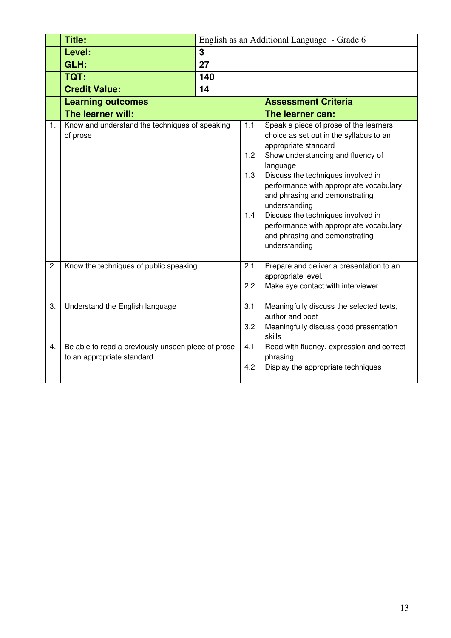|    | <b>Title:</b>                                      | English as an Additional Language - Grade 6 |     |                                                 |  |
|----|----------------------------------------------------|---------------------------------------------|-----|-------------------------------------------------|--|
|    | Level:                                             | 3                                           |     |                                                 |  |
|    | GLH:                                               | 27                                          |     |                                                 |  |
|    | TQT:                                               | 140                                         |     |                                                 |  |
|    | <b>Credit Value:</b>                               | 14                                          |     |                                                 |  |
|    | <b>Learning outcomes</b>                           |                                             |     | <b>Assessment Criteria</b>                      |  |
|    | The learner will:                                  |                                             |     | The learner can:                                |  |
| 1. | Know and understand the techniques of speaking     |                                             | 1.1 | Speak a piece of prose of the learners          |  |
|    | of prose                                           |                                             |     | choice as set out in the syllabus to an         |  |
|    |                                                    |                                             | 1.2 | appropriate standard                            |  |
|    |                                                    |                                             |     | Show understanding and fluency of<br>language   |  |
|    |                                                    |                                             | 1.3 | Discuss the techniques involved in              |  |
|    |                                                    |                                             |     | performance with appropriate vocabulary         |  |
|    |                                                    |                                             |     | and phrasing and demonstrating                  |  |
|    |                                                    |                                             |     | understanding                                   |  |
|    |                                                    |                                             | 1.4 | Discuss the techniques involved in              |  |
|    |                                                    |                                             |     | performance with appropriate vocabulary         |  |
|    |                                                    |                                             |     | and phrasing and demonstrating<br>understanding |  |
|    |                                                    |                                             |     |                                                 |  |
| 2. | Know the techniques of public speaking             |                                             | 2.1 | Prepare and deliver a presentation to an        |  |
|    |                                                    |                                             |     | appropriate level.                              |  |
|    |                                                    |                                             | 2.2 | Make eye contact with interviewer               |  |
| 3. | Understand the English language                    |                                             | 3.1 | Meaningfully discuss the selected texts,        |  |
|    |                                                    |                                             |     | author and poet                                 |  |
|    |                                                    |                                             | 3.2 | Meaningfully discuss good presentation          |  |
|    |                                                    |                                             |     | skills                                          |  |
| 4. | Be able to read a previously unseen piece of prose |                                             | 4.1 | Read with fluency, expression and correct       |  |
|    | to an appropriate standard                         |                                             |     | phrasing                                        |  |
|    |                                                    |                                             | 4.2 | Display the appropriate techniques              |  |
|    |                                                    |                                             |     |                                                 |  |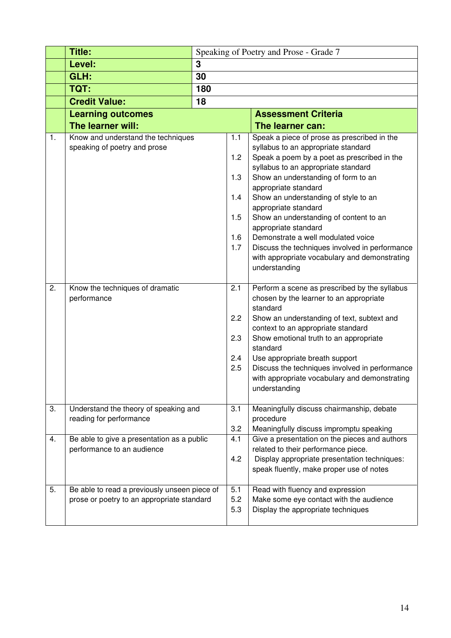|    | <b>Title:</b>                                                                              | Speaking of Poetry and Prose - Grade 7 |                                               |                                                                                                                                                                                                                                                                                                                                                                                                                                                                                                                    |  |
|----|--------------------------------------------------------------------------------------------|----------------------------------------|-----------------------------------------------|--------------------------------------------------------------------------------------------------------------------------------------------------------------------------------------------------------------------------------------------------------------------------------------------------------------------------------------------------------------------------------------------------------------------------------------------------------------------------------------------------------------------|--|
|    | Level:                                                                                     | 3                                      |                                               |                                                                                                                                                                                                                                                                                                                                                                                                                                                                                                                    |  |
|    | GLH:                                                                                       | 30                                     |                                               |                                                                                                                                                                                                                                                                                                                                                                                                                                                                                                                    |  |
|    | TQT:                                                                                       | 180                                    |                                               |                                                                                                                                                                                                                                                                                                                                                                                                                                                                                                                    |  |
|    | <b>Credit Value:</b>                                                                       | 18                                     |                                               |                                                                                                                                                                                                                                                                                                                                                                                                                                                                                                                    |  |
|    | <b>Learning outcomes</b>                                                                   |                                        |                                               | <b>Assessment Criteria</b>                                                                                                                                                                                                                                                                                                                                                                                                                                                                                         |  |
|    | The learner will:                                                                          |                                        |                                               | The learner can:                                                                                                                                                                                                                                                                                                                                                                                                                                                                                                   |  |
| 1. | Know and understand the techniques<br>speaking of poetry and prose                         |                                        | 1.1<br>1.2<br>1.3<br>1.4<br>1.5<br>1.6<br>1.7 | Speak a piece of prose as prescribed in the<br>syllabus to an appropriate standard<br>Speak a poem by a poet as prescribed in the<br>syllabus to an appropriate standard<br>Show an understanding of form to an<br>appropriate standard<br>Show an understanding of style to an<br>appropriate standard<br>Show an understanding of content to an<br>appropriate standard<br>Demonstrate a well modulated voice<br>Discuss the techniques involved in performance<br>with appropriate vocabulary and demonstrating |  |
| 2. | Know the techniques of dramatic<br>performance                                             |                                        | 2.1<br>2.2<br>2.3<br>2.4<br>2.5               | understanding<br>Perform a scene as prescribed by the syllabus<br>chosen by the learner to an appropriate<br>standard<br>Show an understanding of text, subtext and<br>context to an appropriate standard<br>Show emotional truth to an appropriate<br>standard<br>Use appropriate breath support<br>Discuss the techniques involved in performance<br>with appropriate vocabulary and demonstrating<br>understanding                                                                                              |  |
| 3. | Understand the theory of speaking and<br>reading for performance                           |                                        | 3.1<br>3.2                                    | Meaningfully discuss chairmanship, debate<br>procedure<br>Meaningfully discuss impromptu speaking                                                                                                                                                                                                                                                                                                                                                                                                                  |  |
| 4. | Be able to give a presentation as a public<br>performance to an audience                   |                                        | 4.1<br>4.2                                    | Give a presentation on the pieces and authors<br>related to their performance piece.<br>Display appropriate presentation techniques:<br>speak fluently, make proper use of notes                                                                                                                                                                                                                                                                                                                                   |  |
| 5. | Be able to read a previously unseen piece of<br>prose or poetry to an appropriate standard |                                        | 5.1<br>5.2<br>5.3                             | Read with fluency and expression<br>Make some eye contact with the audience<br>Display the appropriate techniques                                                                                                                                                                                                                                                                                                                                                                                                  |  |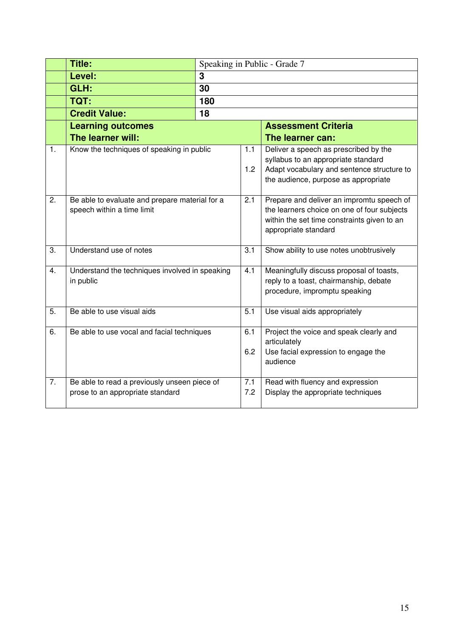|    | <b>Title:</b>                                  |     | Speaking in Public - Grade 7 |                                                                                    |  |
|----|------------------------------------------------|-----|------------------------------|------------------------------------------------------------------------------------|--|
|    | Level:                                         | 3   |                              |                                                                                    |  |
|    | GLH:                                           | 30  |                              |                                                                                    |  |
|    | TQT:                                           | 180 |                              |                                                                                    |  |
|    | <b>Credit Value:</b>                           | 18  |                              |                                                                                    |  |
|    | <b>Learning outcomes</b>                       |     |                              | <b>Assessment Criteria</b>                                                         |  |
|    | The learner will:                              |     |                              | The learner can:                                                                   |  |
| 1. | Know the techniques of speaking in public      |     | 1.1                          | Deliver a speech as prescribed by the                                              |  |
|    |                                                |     |                              | syllabus to an appropriate standard                                                |  |
|    |                                                |     | 1.2                          | Adapt vocabulary and sentence structure to<br>the audience, purpose as appropriate |  |
|    |                                                |     |                              |                                                                                    |  |
| 2. | Be able to evaluate and prepare material for a |     | 2.1                          | Prepare and deliver an impromtu speech of                                          |  |
|    | speech within a time limit                     |     |                              | the learners choice on one of four subjects                                        |  |
|    |                                                |     |                              | within the set time constraints given to an                                        |  |
|    |                                                |     |                              | appropriate standard                                                               |  |
| 3. | Understand use of notes                        |     | 3.1                          | Show ability to use notes unobtrusively                                            |  |
|    |                                                |     |                              |                                                                                    |  |
| 4. | Understand the techniques involved in speaking |     | 4.1                          | Meaningfully discuss proposal of toasts,                                           |  |
|    | in public                                      |     |                              | reply to a toast, chairmanship, debate                                             |  |
|    |                                                |     |                              | procedure, impromptu speaking                                                      |  |
| 5. | Be able to use visual aids                     |     | 5.1                          | Use visual aids appropriately                                                      |  |
|    |                                                |     |                              |                                                                                    |  |
| 6. | Be able to use vocal and facial techniques     |     | 6.1                          | Project the voice and speak clearly and                                            |  |
|    |                                                |     | 6.2                          | articulately                                                                       |  |
|    |                                                |     |                              | Use facial expression to engage the<br>audience                                    |  |
|    |                                                |     |                              |                                                                                    |  |
| 7. | Be able to read a previously unseen piece of   |     | 7.1                          | Read with fluency and expression                                                   |  |
|    | prose to an appropriate standard               |     | 7.2                          | Display the appropriate techniques                                                 |  |
|    |                                                |     |                              |                                                                                    |  |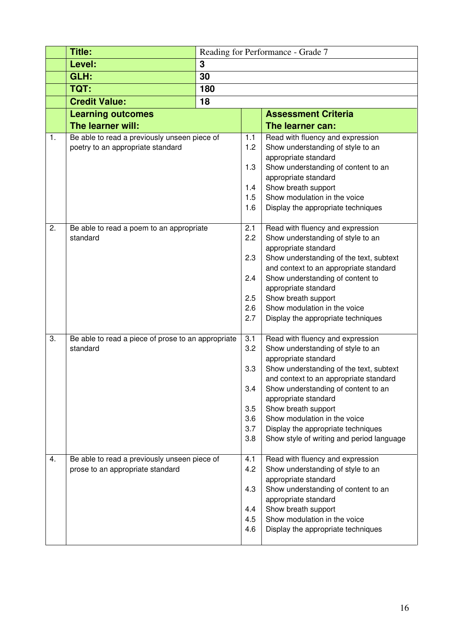|    | <b>Title:</b>                                      |     |            | Reading for Performance - Grade 7                                                 |  |  |  |
|----|----------------------------------------------------|-----|------------|-----------------------------------------------------------------------------------|--|--|--|
|    | Level:                                             | 3   |            |                                                                                   |  |  |  |
|    | GLH:                                               | 30  |            |                                                                                   |  |  |  |
|    | TQT:                                               | 180 |            |                                                                                   |  |  |  |
|    | <b>Credit Value:</b>                               | 18  |            |                                                                                   |  |  |  |
|    | <b>Learning outcomes</b>                           |     |            | <b>Assessment Criteria</b>                                                        |  |  |  |
|    | The learner will:                                  |     |            | The learner can:                                                                  |  |  |  |
| 1. | Be able to read a previously unseen piece of       |     | 1.1        | Read with fluency and expression                                                  |  |  |  |
|    | poetry to an appropriate standard                  |     | 1.2        | Show understanding of style to an                                                 |  |  |  |
|    |                                                    |     |            | appropriate standard                                                              |  |  |  |
|    |                                                    |     | 1.3        | Show understanding of content to an<br>appropriate standard                       |  |  |  |
|    |                                                    |     | 1.4        | Show breath support                                                               |  |  |  |
|    |                                                    |     | 1.5        | Show modulation in the voice                                                      |  |  |  |
|    |                                                    |     | 1.6        | Display the appropriate techniques                                                |  |  |  |
|    |                                                    |     |            |                                                                                   |  |  |  |
| 2. | Be able to read a poem to an appropriate           |     | 2.1        | Read with fluency and expression                                                  |  |  |  |
|    | standard                                           |     | 2.2        | Show understanding of style to an<br>appropriate standard                         |  |  |  |
|    |                                                    |     | 2.3        | Show understanding of the text, subtext                                           |  |  |  |
|    |                                                    |     |            | and context to an appropriate standard                                            |  |  |  |
|    |                                                    |     | 2.4        | Show understanding of content to                                                  |  |  |  |
|    |                                                    |     |            | appropriate standard                                                              |  |  |  |
|    |                                                    |     | 2.5        | Show breath support                                                               |  |  |  |
|    |                                                    |     | 2.6<br>2.7 | Show modulation in the voice                                                      |  |  |  |
|    |                                                    |     |            | Display the appropriate techniques                                                |  |  |  |
| 3. | Be able to read a piece of prose to an appropriate |     | 3.1        | Read with fluency and expression                                                  |  |  |  |
|    | standard                                           |     | 3.2        | Show understanding of style to an                                                 |  |  |  |
|    |                                                    |     |            | appropriate standard                                                              |  |  |  |
|    |                                                    |     | 3.3        | Show understanding of the text, subtext<br>and context to an appropriate standard |  |  |  |
|    |                                                    |     | 3.4        | Show understanding of content to an                                               |  |  |  |
|    |                                                    |     |            | appropriate standard                                                              |  |  |  |
|    |                                                    |     | 3.5        | Show breath support                                                               |  |  |  |
|    |                                                    |     | 3.6        | Show modulation in the voice                                                      |  |  |  |
|    |                                                    |     | 3.7<br>3.8 | Display the appropriate techniques                                                |  |  |  |
|    |                                                    |     |            | Show style of writing and period language                                         |  |  |  |
| 4. | Be able to read a previously unseen piece of       |     | 4.1        | Read with fluency and expression                                                  |  |  |  |
|    | prose to an appropriate standard                   |     | 4.2        | Show understanding of style to an                                                 |  |  |  |
|    |                                                    |     |            | appropriate standard                                                              |  |  |  |
|    |                                                    |     | 4.3        | Show understanding of content to an                                               |  |  |  |
|    |                                                    |     | 4.4        | appropriate standard<br>Show breath support                                       |  |  |  |
|    |                                                    |     | 4.5        | Show modulation in the voice                                                      |  |  |  |
|    |                                                    |     | 4.6        | Display the appropriate techniques                                                |  |  |  |
|    |                                                    |     |            |                                                                                   |  |  |  |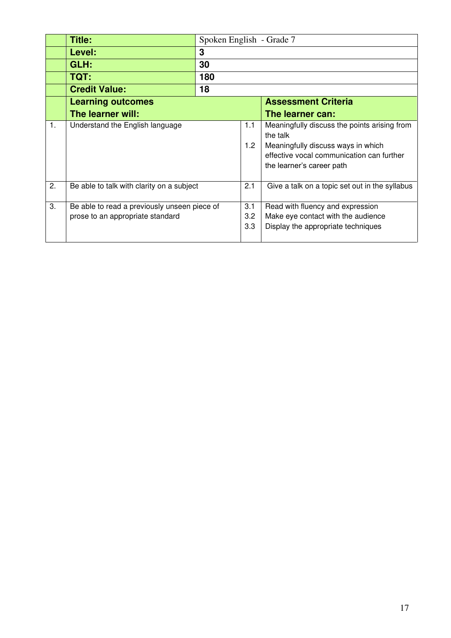|    | Title:                                                                           |     | Spoken English - Grade 7       |                                                                                                                                                                          |  |
|----|----------------------------------------------------------------------------------|-----|--------------------------------|--------------------------------------------------------------------------------------------------------------------------------------------------------------------------|--|
|    | Level:                                                                           | 3   |                                |                                                                                                                                                                          |  |
|    | GLH:                                                                             | 30  |                                |                                                                                                                                                                          |  |
|    | TQT:                                                                             | 180 |                                |                                                                                                                                                                          |  |
|    | <b>Credit Value:</b>                                                             | 18  |                                |                                                                                                                                                                          |  |
|    | <b>Learning outcomes</b>                                                         |     |                                | <b>Assessment Criteria</b>                                                                                                                                               |  |
|    | The learner will:                                                                |     |                                | The learner can:                                                                                                                                                         |  |
| 1. | Understand the English language                                                  |     | 1.1<br>1.2                     | Meaningfully discuss the points arising from<br>the talk<br>Meaningfully discuss ways in which<br>effective vocal communication can further<br>the learner's career path |  |
| 2. | Be able to talk with clarity on a subject                                        |     | 2.1                            | Give a talk on a topic set out in the syllabus                                                                                                                           |  |
| 3. | Be able to read a previously unseen piece of<br>prose to an appropriate standard |     | 3.1<br>$3.2\phantom{0}$<br>3.3 | Read with fluency and expression<br>Make eye contact with the audience<br>Display the appropriate techniques                                                             |  |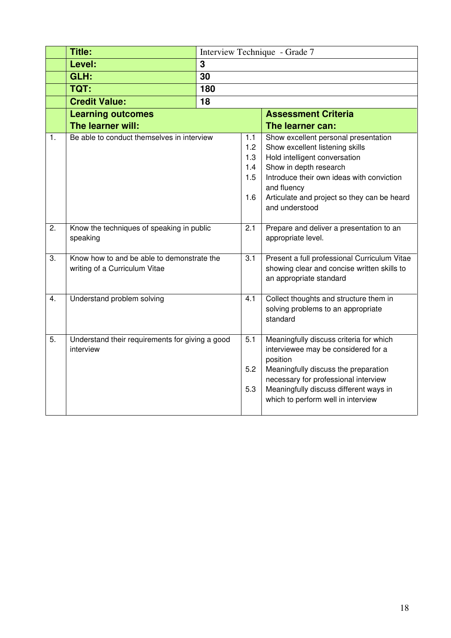|                | <b>Title:</b>                                                               |     | Interview Technique - Grade 7          |                                                                                                                                                                                                                                                                 |  |
|----------------|-----------------------------------------------------------------------------|-----|----------------------------------------|-----------------------------------------------------------------------------------------------------------------------------------------------------------------------------------------------------------------------------------------------------------------|--|
|                | Level:                                                                      | 3   |                                        |                                                                                                                                                                                                                                                                 |  |
|                | GLH:                                                                        | 30  |                                        |                                                                                                                                                                                                                                                                 |  |
|                | TQT:                                                                        | 180 |                                        |                                                                                                                                                                                                                                                                 |  |
|                | <b>Credit Value:</b>                                                        | 18  |                                        |                                                                                                                                                                                                                                                                 |  |
|                | <b>Learning outcomes</b>                                                    |     |                                        | <b>Assessment Criteria</b>                                                                                                                                                                                                                                      |  |
|                | The learner will:                                                           |     |                                        | The learner can:                                                                                                                                                                                                                                                |  |
| $\mathbf{1}$ . | Be able to conduct themselves in interview                                  |     | 1.1<br>1.2<br>1.3<br>1.4<br>1.5<br>1.6 | Show excellent personal presentation<br>Show excellent listening skills<br>Hold intelligent conversation<br>Show in depth research<br>Introduce their own ideas with conviction<br>and fluency<br>Articulate and project so they can be heard<br>and understood |  |
| 2.             | Know the techniques of speaking in public<br>speaking                       |     | 2.1                                    | Prepare and deliver a presentation to an<br>appropriate level.                                                                                                                                                                                                  |  |
| 3.             | Know how to and be able to demonstrate the<br>writing of a Curriculum Vitae |     | 3.1                                    | Present a full professional Curriculum Vitae<br>showing clear and concise written skills to<br>an appropriate standard                                                                                                                                          |  |
| 4.             | Understand problem solving                                                  |     | 4.1                                    | Collect thoughts and structure them in<br>solving problems to an appropriate<br>standard                                                                                                                                                                        |  |
| 5.             | Understand their requirements for giving a good<br>interview                |     | 5.1<br>5.2<br>5.3                      | Meaningfully discuss criteria for which<br>interviewee may be considered for a<br>position<br>Meaningfully discuss the preparation<br>necessary for professional interview<br>Meaningfully discuss different ways in<br>which to perform well in interview      |  |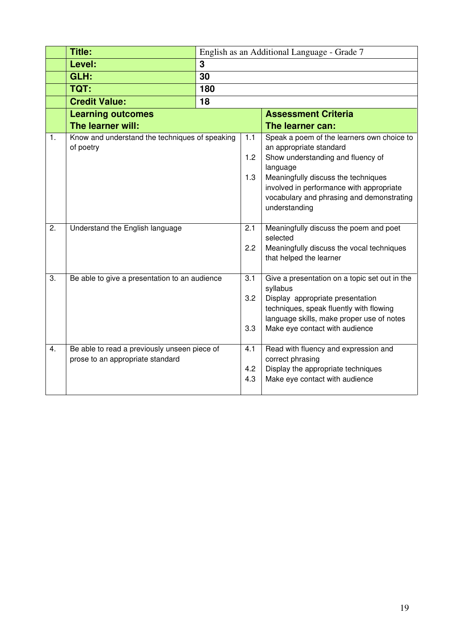|                | <b>Title:</b>                                  |     |     | English as an Additional Language - Grade 7                                 |  |
|----------------|------------------------------------------------|-----|-----|-----------------------------------------------------------------------------|--|
|                | Level:                                         | 3   |     |                                                                             |  |
|                | GLH:                                           | 30  |     |                                                                             |  |
|                | TQT:                                           | 180 |     |                                                                             |  |
|                | <b>Credit Value:</b>                           | 18  |     |                                                                             |  |
|                | <b>Learning outcomes</b>                       |     |     | <b>Assessment Criteria</b>                                                  |  |
|                | The learner will:                              |     |     | The learner can:                                                            |  |
| $\mathbf{1}$ . | Know and understand the techniques of speaking |     | 1.1 | Speak a poem of the learners own choice to                                  |  |
|                | of poetry                                      |     | 1.2 | an appropriate standard<br>Show understanding and fluency of                |  |
|                |                                                |     |     | language                                                                    |  |
|                |                                                |     | 1.3 | Meaningfully discuss the techniques                                         |  |
|                |                                                |     |     | involved in performance with appropriate                                    |  |
|                |                                                |     |     | vocabulary and phrasing and demonstrating                                   |  |
|                |                                                |     |     | understanding                                                               |  |
| 2.             | Understand the English language                |     | 2.1 | Meaningfully discuss the poem and poet                                      |  |
|                |                                                |     |     | selected                                                                    |  |
|                |                                                |     | 2.2 | Meaningfully discuss the vocal techniques                                   |  |
|                |                                                |     |     | that helped the learner                                                     |  |
| 3.             | Be able to give a presentation to an audience  |     | 3.1 | Give a presentation on a topic set out in the                               |  |
|                |                                                |     |     | syllabus                                                                    |  |
|                |                                                |     | 3.2 | Display appropriate presentation                                            |  |
|                |                                                |     |     | techniques, speak fluently with flowing                                     |  |
|                |                                                |     | 3.3 | language skills, make proper use of notes<br>Make eye contact with audience |  |
|                |                                                |     |     |                                                                             |  |
| 4.             | Be able to read a previously unseen piece of   |     | 4.1 | Read with fluency and expression and                                        |  |
|                | prose to an appropriate standard               |     |     | correct phrasing                                                            |  |
|                |                                                |     | 4.2 | Display the appropriate techniques                                          |  |
|                |                                                |     | 4.3 | Make eye contact with audience                                              |  |
|                |                                                |     |     |                                                                             |  |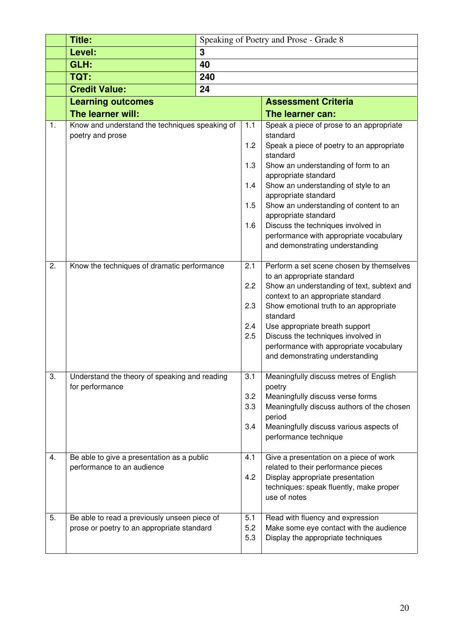|    | <b>Title:</b>                                  | Speaking of Poetry and Prose - Grade 8 |     |                                                                               |  |
|----|------------------------------------------------|----------------------------------------|-----|-------------------------------------------------------------------------------|--|
|    | Level:                                         | 3                                      |     |                                                                               |  |
|    | GLH:                                           | 40                                     |     |                                                                               |  |
|    | TQT:                                           | 240                                    |     |                                                                               |  |
|    | <b>Credit Value:</b>                           | 24                                     |     |                                                                               |  |
|    | <b>Learning outcomes</b>                       |                                        |     | <b>Assessment Criteria</b>                                                    |  |
|    | The learner will:                              |                                        |     | The learner can:                                                              |  |
| 1. | Know and understand the techniques speaking of |                                        | 1.1 | Speak a piece of prose to an appropriate                                      |  |
|    | poetry and prose                               |                                        |     | standard                                                                      |  |
|    |                                                |                                        | 1.2 | Speak a piece of poetry to an appropriate                                     |  |
|    |                                                |                                        |     | standard                                                                      |  |
|    |                                                |                                        | 1.3 | Show an understanding of form to an                                           |  |
|    |                                                |                                        | 1.4 | appropriate standard<br>Show an understanding of style to an                  |  |
|    |                                                |                                        |     | appropriate standard                                                          |  |
|    |                                                |                                        | 1.5 | Show an understanding of content to an                                        |  |
|    |                                                |                                        |     | appropriate standard                                                          |  |
|    |                                                |                                        | 1.6 | Discuss the techniques involved in                                            |  |
|    |                                                |                                        |     | performance with appropriate vocabulary                                       |  |
|    |                                                |                                        |     | and demonstrating understanding                                               |  |
| 2. | Know the techniques of dramatic performance    |                                        | 2.1 | Perform a set scene chosen by themselves                                      |  |
|    |                                                |                                        |     | to an appropriate standard                                                    |  |
|    |                                                |                                        | 2.2 | Show an understanding of text, subtext and                                    |  |
|    |                                                |                                        |     | context to an appropriate standard                                            |  |
|    |                                                |                                        | 2.3 | Show emotional truth to an appropriate                                        |  |
|    |                                                |                                        |     | standard                                                                      |  |
|    |                                                |                                        | 2.4 | Use appropriate breath support                                                |  |
|    |                                                |                                        | 2.5 | Discuss the techniques involved in<br>performance with appropriate vocabulary |  |
|    |                                                |                                        |     | and demonstrating understanding                                               |  |
|    |                                                |                                        |     |                                                                               |  |
| 3. | Understand the theory of speaking and reading  |                                        | 3.1 | Meaningfully discuss metres of English                                        |  |
|    | for performance                                |                                        |     | poetry                                                                        |  |
|    |                                                |                                        | 3.2 | Meaningfully discuss verse forms                                              |  |
|    |                                                |                                        | 3.3 | Meaningfully discuss authors of the chosen<br>period                          |  |
|    |                                                |                                        | 3.4 | Meaningfully discuss various aspects of                                       |  |
|    |                                                |                                        |     | performance technique                                                         |  |
|    |                                                |                                        |     |                                                                               |  |
| 4. | Be able to give a presentation as a public     |                                        | 4.1 | Give a presentation on a piece of work                                        |  |
|    | performance to an audience                     |                                        |     | related to their performance pieces                                           |  |
|    |                                                |                                        | 4.2 | Display appropriate presentation                                              |  |
|    |                                                |                                        |     | techniques: speak fluently, make proper<br>use of notes                       |  |
|    |                                                |                                        |     |                                                                               |  |
| 5. | Be able to read a previously unseen piece of   |                                        | 5.1 | Read with fluency and expression                                              |  |
|    | prose or poetry to an appropriate standard     |                                        | 5.2 | Make some eye contact with the audience                                       |  |
|    |                                                |                                        | 5.3 | Display the appropriate techniques                                            |  |
|    |                                                |                                        |     |                                                                               |  |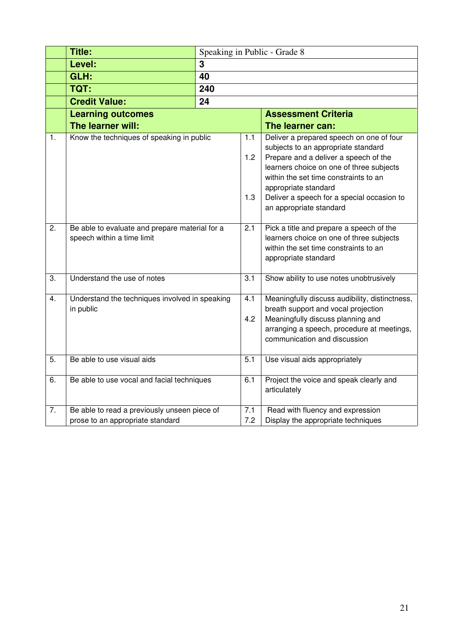|    | <b>Title:</b>                                                                    |     |                   | Speaking in Public - Grade 8                                                                                                                                                                                                          |
|----|----------------------------------------------------------------------------------|-----|-------------------|---------------------------------------------------------------------------------------------------------------------------------------------------------------------------------------------------------------------------------------|
|    | Level:                                                                           | 3   |                   |                                                                                                                                                                                                                                       |
|    | GLH:                                                                             | 40  |                   |                                                                                                                                                                                                                                       |
|    | TQT:                                                                             | 240 |                   |                                                                                                                                                                                                                                       |
|    | <b>Credit Value:</b>                                                             | 24  |                   |                                                                                                                                                                                                                                       |
|    | <b>Learning outcomes</b>                                                         |     |                   | <b>Assessment Criteria</b>                                                                                                                                                                                                            |
|    | The learner will:                                                                |     |                   | The learner can:                                                                                                                                                                                                                      |
| 1. | Know the techniques of speaking in public                                        |     | 1.1<br>1.2<br>1.3 | Deliver a prepared speech on one of four<br>subjects to an appropriate standard<br>Prepare and a deliver a speech of the<br>learners choice on one of three subjects<br>within the set time constraints to an<br>appropriate standard |
|    |                                                                                  |     |                   | Deliver a speech for a special occasion to<br>an appropriate standard                                                                                                                                                                 |
| 2. | Be able to evaluate and prepare material for a<br>speech within a time limit     |     | 2.1               | Pick a title and prepare a speech of the<br>learners choice on one of three subjects<br>within the set time constraints to an<br>appropriate standard                                                                                 |
| 3. | Understand the use of notes                                                      |     | 3.1               | Show ability to use notes unobtrusively                                                                                                                                                                                               |
| 4. | Understand the techniques involved in speaking                                   |     | 4.1               | Meaningfully discuss audibility, distinctness,                                                                                                                                                                                        |
|    | in public                                                                        |     | 4.2               | breath support and vocal projection<br>Meaningfully discuss planning and<br>arranging a speech, procedure at meetings,<br>communication and discussion                                                                                |
| 5. | Be able to use visual aids                                                       |     |                   | Use visual aids appropriately                                                                                                                                                                                                         |
| 6. | Be able to use vocal and facial techniques                                       |     | 6.1               | Project the voice and speak clearly and<br>articulately                                                                                                                                                                               |
| 7. | Be able to read a previously unseen piece of<br>prose to an appropriate standard |     | 7.1<br>7.2        | Read with fluency and expression<br>Display the appropriate techniques                                                                                                                                                                |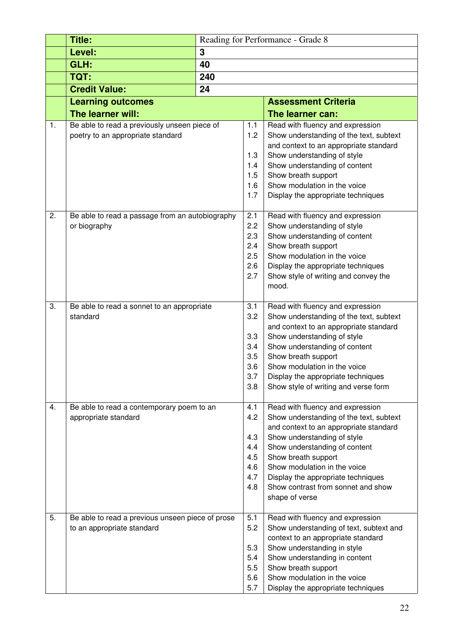|    | <b>Title:</b>                                                     | Reading for Performance - Grade 8 |            |                                                                                   |
|----|-------------------------------------------------------------------|-----------------------------------|------------|-----------------------------------------------------------------------------------|
|    | Level:                                                            | 3                                 |            |                                                                                   |
|    | GLH:                                                              | 40                                |            |                                                                                   |
|    | TQT:                                                              | 240                               |            |                                                                                   |
|    | <b>Credit Value:</b>                                              | 24                                |            |                                                                                   |
|    | <b>Learning outcomes</b>                                          |                                   |            | <b>Assessment Criteria</b>                                                        |
|    | The learner will:                                                 |                                   |            | The learner can:                                                                  |
| 1. | Be able to read a previously unseen piece of                      |                                   | 1.1        | Read with fluency and expression                                                  |
|    | poetry to an appropriate standard                                 |                                   | 1.2        | Show understanding of the text, subtext                                           |
|    |                                                                   |                                   |            | and context to an appropriate standard                                            |
|    |                                                                   |                                   | 1.3        | Show understanding of style                                                       |
|    |                                                                   |                                   | 1.4        | Show understanding of content                                                     |
|    |                                                                   |                                   | 1.5        | Show breath support                                                               |
|    |                                                                   |                                   | 1.6        | Show modulation in the voice                                                      |
|    |                                                                   |                                   | 1.7        | Display the appropriate techniques                                                |
| 2. | Be able to read a passage from an autobiography                   |                                   | 2.1        | Read with fluency and expression                                                  |
|    | or biography                                                      |                                   | 2.2        | Show understanding of style                                                       |
|    |                                                                   |                                   | 2.3        | Show understanding of content                                                     |
|    |                                                                   |                                   | 2.4        | Show breath support                                                               |
|    |                                                                   |                                   | 2.5        | Show modulation in the voice                                                      |
|    |                                                                   |                                   | 2.6        | Display the appropriate techniques                                                |
|    |                                                                   |                                   | 2.7        | Show style of writing and convey the                                              |
|    |                                                                   |                                   |            | mood.                                                                             |
| 3. | Be able to read a sonnet to an appropriate                        |                                   | 3.1        | Read with fluency and expression                                                  |
|    | standard                                                          |                                   | 3.2        | Show understanding of the text, subtext                                           |
|    |                                                                   |                                   |            | and context to an appropriate standard                                            |
|    |                                                                   |                                   | 3.3        | Show understanding of style                                                       |
|    |                                                                   |                                   | 3.4<br>3.5 | Show understanding of content                                                     |
|    |                                                                   |                                   | 3.6        | Show breath support<br>Show modulation in the voice                               |
|    |                                                                   |                                   | 3.7        | Display the appropriate techniques                                                |
|    |                                                                   |                                   | 3.8        | Show style of writing and verse form                                              |
|    | Be able to read a contemporary poem to an<br>appropriate standard |                                   |            |                                                                                   |
| 4. |                                                                   |                                   | 4.1        | Read with fluency and expression                                                  |
|    |                                                                   |                                   | 4.2        | Show understanding of the text, subtext<br>and context to an appropriate standard |
|    |                                                                   |                                   | 4.3        | Show understanding of style                                                       |
|    |                                                                   |                                   | 4.4        | Show understanding of content                                                     |
|    |                                                                   |                                   | 4.5        | Show breath support                                                               |
|    |                                                                   |                                   | 4.6        | Show modulation in the voice                                                      |
|    |                                                                   |                                   | 4.7<br>4.8 | Display the appropriate techniques<br>Show contrast from sonnet and show          |
|    |                                                                   |                                   |            | shape of verse                                                                    |
|    |                                                                   |                                   |            |                                                                                   |
| 5. | Be able to read a previous unseen piece of prose                  |                                   | 5.1        | Read with fluency and expression                                                  |
|    | to an appropriate standard                                        |                                   | 5.2        | Show understanding of text, subtext and                                           |
|    |                                                                   |                                   | 5.3        | context to an appropriate standard<br>Show understanding in style                 |
|    |                                                                   |                                   | 5.4        | Show understanding in content                                                     |
|    |                                                                   |                                   | 5.5        | Show breath support                                                               |
|    |                                                                   |                                   | 5.6        | Show modulation in the voice                                                      |
|    |                                                                   |                                   | 5.7        | Display the appropriate techniques                                                |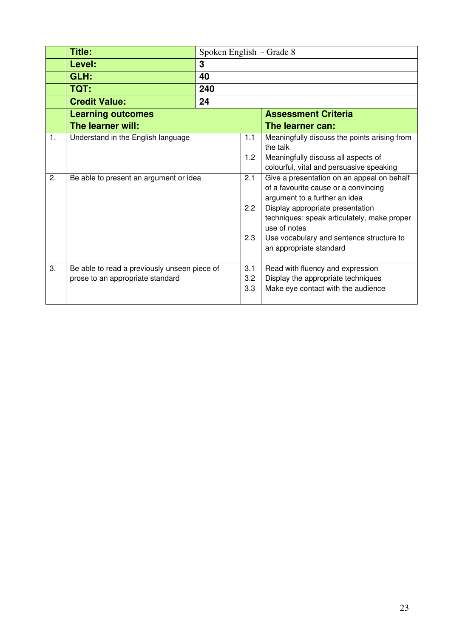|                | Title:                                                                           | Spoken English - Grade 8 |                   |                                                                                                                                                                                                                                                                                               |  |
|----------------|----------------------------------------------------------------------------------|--------------------------|-------------------|-----------------------------------------------------------------------------------------------------------------------------------------------------------------------------------------------------------------------------------------------------------------------------------------------|--|
|                | Level:                                                                           | 3                        |                   |                                                                                                                                                                                                                                                                                               |  |
|                | GLH:                                                                             | 40                       |                   |                                                                                                                                                                                                                                                                                               |  |
|                | TQT:                                                                             | 240                      |                   |                                                                                                                                                                                                                                                                                               |  |
|                | <b>Credit Value:</b>                                                             | 24                       |                   |                                                                                                                                                                                                                                                                                               |  |
|                | <b>Learning outcomes</b>                                                         |                          |                   | <b>Assessment Criteria</b>                                                                                                                                                                                                                                                                    |  |
|                | The learner will:                                                                |                          |                   | The learner can:                                                                                                                                                                                                                                                                              |  |
| $\mathbf{1}$ . | Understand in the English language                                               |                          | 1.1<br>1.2        | Meaningfully discuss the points arising from<br>the talk<br>Meaningfully discuss all aspects of<br>colourful, vital and persuasive speaking                                                                                                                                                   |  |
| 2.             | Be able to present an argument or idea                                           |                          | 2.1<br>2.2<br>2.3 | Give a presentation on an appeal on behalf<br>of a favourite cause or a convincing<br>argument to a further an idea<br>Display appropriate presentation<br>techniques: speak articulately, make proper<br>use of notes<br>Use vocabulary and sentence structure to<br>an appropriate standard |  |
| 3.             | Be able to read a previously unseen piece of<br>prose to an appropriate standard |                          | 3.1<br>3.2<br>3.3 | Read with fluency and expression<br>Display the appropriate techniques<br>Make eye contact with the audience                                                                                                                                                                                  |  |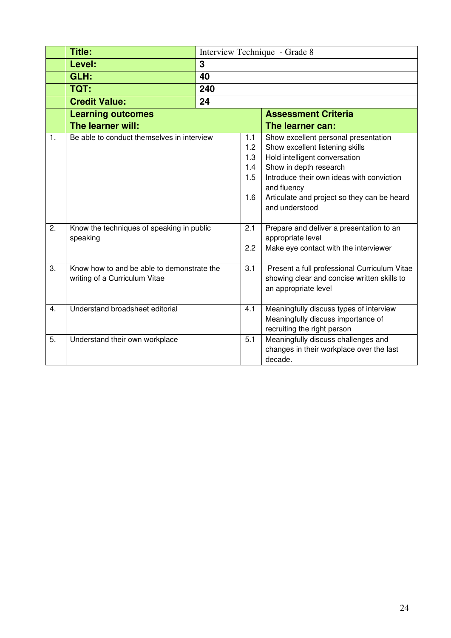|    | <b>Title:</b>                                                                        |     |            | Interview Technique - Grade 8                                                                                                                                                                                                                                   |  |
|----|--------------------------------------------------------------------------------------|-----|------------|-----------------------------------------------------------------------------------------------------------------------------------------------------------------------------------------------------------------------------------------------------------------|--|
|    | Level:                                                                               | 3   |            |                                                                                                                                                                                                                                                                 |  |
|    | GLH:                                                                                 | 40  |            |                                                                                                                                                                                                                                                                 |  |
|    | TQT:                                                                                 | 240 |            |                                                                                                                                                                                                                                                                 |  |
|    | <b>Credit Value:</b>                                                                 | 24  |            |                                                                                                                                                                                                                                                                 |  |
|    | <b>Learning outcomes</b>                                                             |     |            | <b>Assessment Criteria</b>                                                                                                                                                                                                                                      |  |
|    | The learner will:                                                                    |     |            | The learner can:                                                                                                                                                                                                                                                |  |
| 1. | Be able to conduct themselves in interview<br>1.1<br>1.2<br>1.3<br>1.4<br>1.5<br>1.6 |     |            | Show excellent personal presentation<br>Show excellent listening skills<br>Hold intelligent conversation<br>Show in depth research<br>Introduce their own ideas with conviction<br>and fluency<br>Articulate and project so they can be heard<br>and understood |  |
| 2. | Know the techniques of speaking in public<br>speaking                                |     | 2.1<br>2.2 | Prepare and deliver a presentation to an<br>appropriate level<br>Make eye contact with the interviewer                                                                                                                                                          |  |
| 3. | Know how to and be able to demonstrate the<br>writing of a Curriculum Vitae          |     | 3.1        | Present a full professional Curriculum Vitae<br>showing clear and concise written skills to<br>an appropriate level                                                                                                                                             |  |
| 4. | Understand broadsheet editorial                                                      |     | 4.1        | Meaningfully discuss types of interview<br>Meaningfully discuss importance of<br>recruiting the right person                                                                                                                                                    |  |
| 5. | Understand their own workplace                                                       |     | 5.1        | Meaningfully discuss challenges and<br>changes in their workplace over the last<br>decade.                                                                                                                                                                      |  |